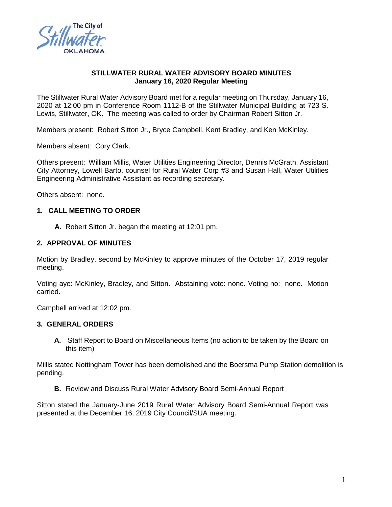

## **STILLWATER RURAL WATER ADVISORY BOARD MINUTES January 16, 2020 Regular Meeting**

The Stillwater Rural Water Advisory Board met for a regular meeting on Thursday, January 16, 2020 at 12:00 pm in Conference Room 1112-B of the Stillwater Municipal Building at 723 S. Lewis, Stillwater, OK. The meeting was called to order by Chairman Robert Sitton Jr.

Members present: Robert Sitton Jr., Bryce Campbell, Kent Bradley, and Ken McKinley.

Members absent: Cory Clark.

Others present: William Millis, Water Utilities Engineering Director, Dennis McGrath, Assistant City Attorney, Lowell Barto, counsel for Rural Water Corp #3 and Susan Hall, Water Utilities Engineering Administrative Assistant as recording secretary.

Others absent: none.

#### **1. CALL MEETING TO ORDER**

 **A.** Robert Sitton Jr. began the meeting at 12:01 pm.

#### **2. APPROVAL OF MINUTES**

Motion by Bradley, second by McKinley to approve minutes of the October 17, 2019 regular meeting.

Voting aye: McKinley, Bradley, and Sitton. Abstaining vote: none. Voting no: none. Motion carried.

Campbell arrived at 12:02 pm.

# **3. GENERAL ORDERS**

**A.** Staff Report to Board on Miscellaneous Items (no action to be taken by the Board on this item)

Millis stated Nottingham Tower has been demolished and the Boersma Pump Station demolition is pending.

**B.** Review and Discuss Rural Water Advisory Board Semi-Annual Report

Sitton stated the January-June 2019 Rural Water Advisory Board Semi-Annual Report was presented at the December 16, 2019 City Council/SUA meeting.